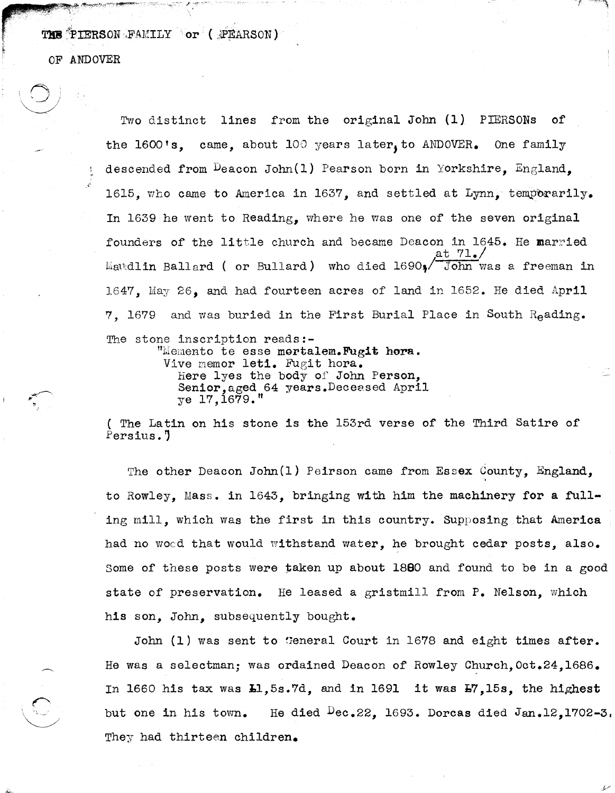THE PIERSON FAMILY or (;PEARSON)

OF ANDOVER

 $\circ$  ,  $\circ$  ,  $\circ$  $\sim$ 

Two distinct lines from the original John (1) PIERSONs of the 1600's, came, about 100 years later, to ANDOVER. One family descended from Deacon John(1) Pearson born in Yorkshire, England. 1615, who came to America in 1637, and settled at Lynn, temporarily. In 1639 he went to Reading, where he was one of the seven original founders of the little church and became Deacon in 1645. He married at  $71.$ Maudlin Ballard ( or Bullard) who died 1690,<sup>7</sup> John was a freeman in 1647. May 26. and had fourteen acres of land in 1652. He died April 7, 1679 and was buried in the First Burial Place in South Reading. The stone inscription reads:-"Memento te esse mortalem.Fugit hora. Vive memor leti. Fugit hora. Here lyes the body of John Person, Senior, aged 64 years. Deceased April

ye 17,1679."

( The Latin on his stone is the l53rd verse of the Third Satire of Persius.'

The other Deacon John(1) Peirson came from Essex County, England, to Rowley, Mass. in 1643, bringing with him the machinery for a fulling mill, which was the first in this country. Supposing that America had no wood that would withstand water, he brought cedar posts, also. Some of these posts were taken up about  $1800$  and found to be in a good state of preservation. He leased a gristmill from P. Nelson, which his son, John, subsequently bought.

John (1) was sent to General Court in 1678 and eight times after. He was a selectman; was ordained Deacon of Rowley Church, Oct.24, 1686. In 1660 his tax was  $L1,5s.7d$ , and in 1691 it was  $E7,15s$ , the highest but one in his town. He died  $\text{Dec.}22$ , 1693. Dorcas died Jan.12,1702-3. They had thirteen children.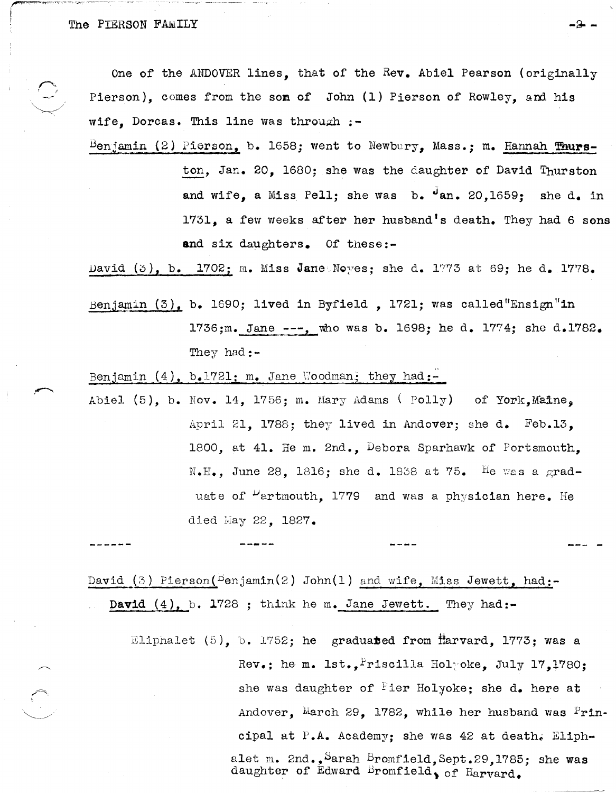One of the ANDOVER lines, that of the Rev. Abiel Pearson (originally Pierson), comes from the son of John (1) Pierson of Rowley, and his wife, Dorcas. This line was through  $:-$ 

Benjamin (2) Pierson, b. 1658; went to Newbury, Mass.; m. Hannah Thurston, Jan. 20, 1680; she was the daughter of David Thurston and wife, a Miss Pell; she was b. dan. 20,1659; she d. in 1731, a few weeks after her husband's death. They had 6 sons and six daughters. Of these:-

David  $(3)$ , b. 1702; m. Miss Jane Noyes; she d. 1773 at 69; he d. 1778.

Benjamin (3), b. 1690; lived in Byfield, 1721; was called "Ensign"in 1736;m. Jane ---, who was b. 1698; he d. 1774; she d. 1782. They had:-

Benjamin  $(4)$ , b.1721; m. Jane Woodman; they had:-

Abiel (5), b. Nov. 14, 1756; m. Mary Adams (Polly) of York, Maine, April 21. 1788: they lived in Andover: she d. Feb.13. 1800, at 41. He m. 2nd., Debora Sparhawk of Portsmouth, N.H., June 28, 1816; she d. 1838 at 75. He was a graduate of "artmouth, 1779 and was a physician here. He died May 22, 1827.

David  $(3)$  Pierson( $\text{Denjamin}(2)$  John(1) and wife, Miss Jewett, had:-David  $(4)$ , b. 1728 ; think he m. Jane Jewett. They had:-

Eliphalet  $(5)$ , b. 1752; he graduated from Harvard, 1773; was a Rev.; he m. 1st., Friscilla Holyoke. July 17.1780: she was daughter of Fier Holyoke; she d. here at Andover, March 29, 1782, while her husband was Principal at P.A. Academy: she was 42 at death. Eliphalet m. 2nd., Sarah Bromfield, Sept.29, 1785; she was daughter of Édward Bromfield, of Harvard.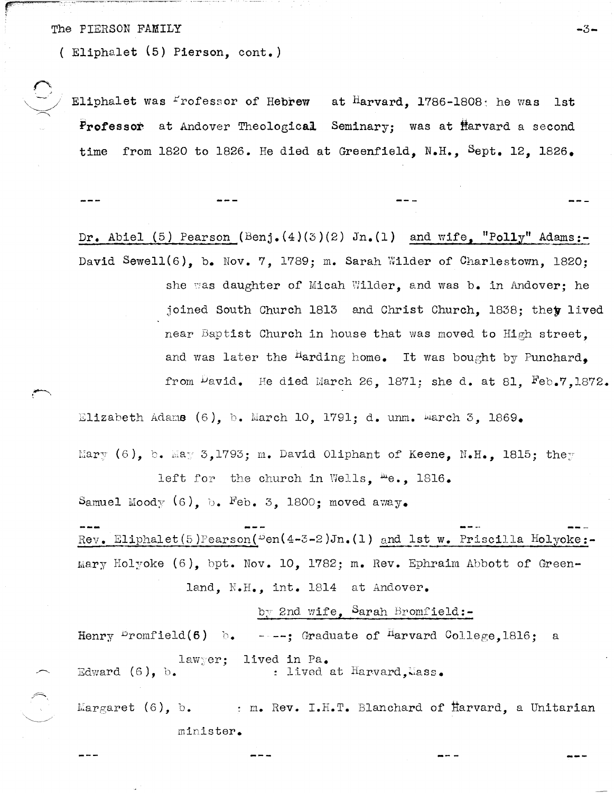## The PIERSON FAMILY  $-3-$

( E1iphalet (5) Pierson, cont.)

Eliphalet was  $\frac{P}{r}$ rofessor of Hebrew at Harvard, 1786-1808; he was 1st Professor at Andover Theological Seminary; was at Harvard a second time from 1820 to 1826. He died at Greenfield, N.H., Sept. 12, 1826.

Dr. Abiel (5) Pearson (Benj.(4)(3)(2) Jn.(1) and wife, "Polly" Adams:-David Sewell(6), b. Nov. 7, 1789; m. Sarah Wilder of Charlestown, 1820; she was daughter of Micah Wilder, and was b. in Andover; he joined South Church 1813 and Christ Church, 1838; they lived near Baptist Church in house that was moved to High street, and was later the <sup>H</sup>arding home. It was bought by Punchard, from  $\mu$ avid. He died March 26, 1871; she d. at 81,  $Feb.7,1872.$ 

Elizabeth Adams (6), b. March 10, 1791; d. unm. March 3, 1869.

Mary (6), b. May 3,1793; m. David Oliphant of Keene, N.H., 1815; they left for the church in Wells,  $me., 1816.$ 

Samuel Moody  $(6)$ , b. Feb. 3, 1800; moved away.

Rev. Eliphalet (5) Pearson ( $Dem(4-3-2)Jn. (1)$  and 1st w. Priscilla Holyoke:-Mary Holyoke (6), bpt. Nov. 10, 1782; m. Rev. Ephraim Abbott of Greenland, N.H., int. 1814 at Andover.

by 2nd wife, Sarah Bromfield:-

Henry  $\stackrel{\text{\scriptsize{\textsf{D}}}}{\sim}$  romfield(6) b. ----; Graduate of  $\stackrel{\text{\scriptsize{\textsf{H}}}}{\sim}$  arvard College,1816; a law;er; Edward (6), b. lived in Fa. : lived at Harvard, Mass.

 $Margaret (6)$ , b. minister. : m. Rev. I.H.T. Blanchard of  $H$ arvard, a Unitarian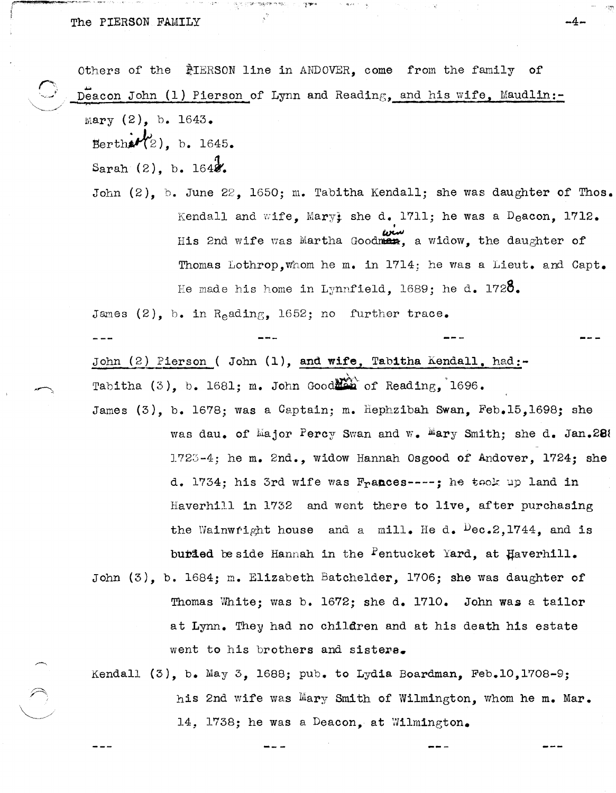Others of the *PIERSON* line in ANDOVER, come from the family of Deacon John (1) Pierson of Lynn and Reading, and his wife, Maudlin:-Mary (2), b. 1643. Bertha $\mathcal{H}_2$ ), b. 1645. Sarah  $(2)$ , b. 1648. John (2), b. June 22, 1650; m. Tabitha Kendall; she was daughter of Thos. Kendall and wife, Mary; she d. 1711; he was a  $D_{e}$ acon, 1712. •<br>•<br>•

His 2nd wife was Martha Goodman, a widow, the daughter of Thomas Lothrop, whom he m. in 1714; he was a Lieut. and Capt. He made his home in Lynnfield. 1689; he d. 1720.

James (2), *h.* in R<sub>e</sub>ading, 1652; no further trace.

John (2) Pierson ( John (1), and wife, Tabitha Kendall, had:-\ Tabitha  $(3)$ , b. 1681; m. John Good $\sum_{i=1}^{\infty}$  of Reading, 1696.

James (3), b. 1678; was a Captain; m. Hephzibah Swan, Feb.15,1698; she was dau. of Major Percy Swan and W. Mary Smith; she d. Jan.28%  $1723-4$ ; he m. 2nd., widow Hannah Osgood of Andover,  $1724$ ; she d. 1734; his 3rd wife was Frances----; he took up land in Haverhill in 1732 and went there to live, after purchasing the Wainwright house and a mill. He d.  $Dec.2, 1744$ , and is burded be side Hannah in the Pentucket Yard, at Haverhill.

John (3), b. 1684; m. Elizabeth Batchelder, 1706; she was daughter of Thomas White; was b.  $1672$ ; she d. 1710. John was a tailor at Lynn. They had no children and at his death his estate went to his brothers and sisters.

Kendall (3), b. May 3, 1688; pub. to Lydia Boardman, Feb.l0,1708-9; his 2nd wife was Mary Smith of Wilmington, whom he m. Mar. 14, 1738; he was a Deacon, at Wilmington.

-4-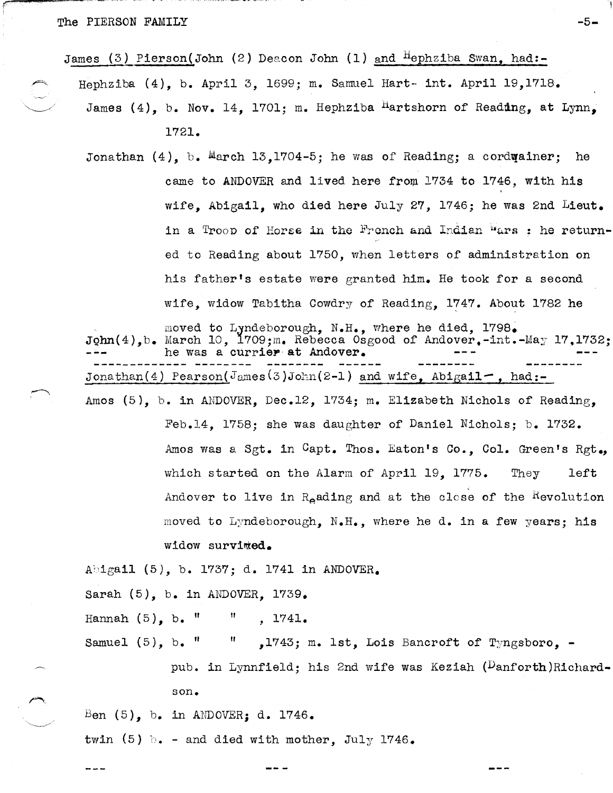<sup>~</sup>..... -,-, ..... ,,--~ -,,- '.'~- .. '. , ,"

James (3) Pierson(John (2) Deacon John (1) and  $H$ ephziba Swan, had:-

Hephziba (4), b. April 3, 1699; m. Samuel Hart- int. April 19,1718.

James (4), b. Nov. 14, 1701; m. Hephziba <sup>H</sup>artshorn of Reading, at Lynn, 1721.

-5-

Jonathan  $(4)$ , b. March 13,1704-5; he was of Reading; a cordurainer; he came to ANDOVER and lived here from 1734 to 1746, with his wife, Abigail, who died here July 27, 1746; he was 2nd Lieut. in a Troop of Horse in the French and Indian wars : he returned to Reading about 1750, when letters of administration on his father's estate were granted him. He took for a second wife, widow Tabitha Cowdry of Reading, 1747. About 1782 he

moved to LJndeborough, N.H., where he died, 1798.  $\texttt{John(4)}$ , b. March 10,  $\texttt{1709; m}$ . Rebecca Osgood of Andover.-int.-May 17,1732; he was a currier at Andover. Jonathan (4) Pearson ( $J<sub>ames</sub>(3)$  John (2-1) and wife, Abigail-, had:-

Amos (5), b. in ANDOVER, Dec.12, 1734; m. Elizabeth Nichols of Reading, Feb.14, 1758; she was daughter of Daniel Nichols; b. 1732. Amos was a Sgt. in Capt. Thos. Eaton's Co., Col. Green's Rgt. which started on the Alarm of April 19, 1775. They left Andover to live in  $R_{\rho}$  ading and at the close of the Hevolution moved to Lyndeborough, N.H., where he d. in a few years; his

widow survited.

Abigail (5), b. 1737; d. 1741 in ANDOVER.

Sarah (5), b. in ANDOVER, 1739.

Hannah  $(5)$ , b.  $"$ " 1741.

Samuel (5), b. " " ,1743; m. 1st, Lois Bancroft of Tyngsboro, -

> pub. in Lynnfield; his 2nd wife was Keziah (Danforth)Richardson.

Ben  $(5)$ , b. in ANDOVER; d. 1746.

twin (5)  $\cdot$  - and died with mother, July 1746.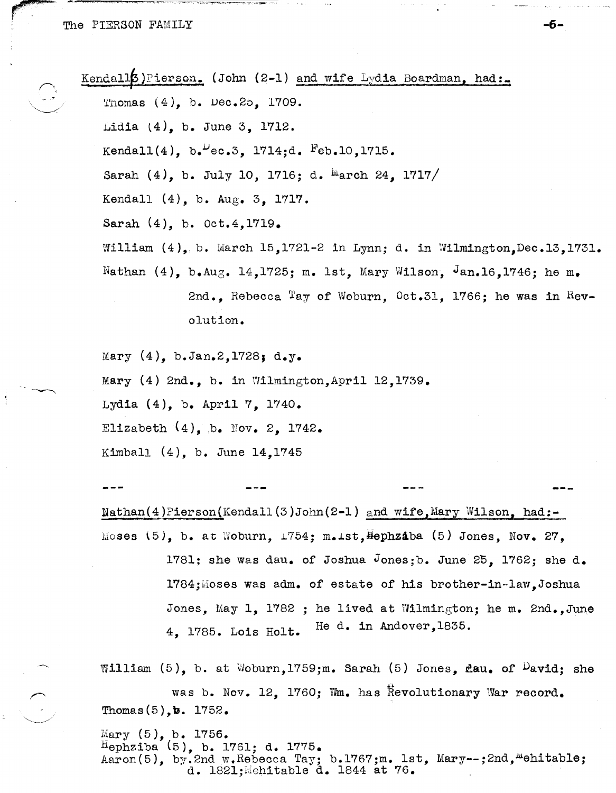$\sim$   $\sim$   $\sim$   $\sim$   $\sim$   $\sim$   $\sim$ r '

 $\bigcup_{i=1}^n a_i$ 

Kendall $[5]$  Pierson. (John (2-1) and wife Lydia Boardman, had: Thomas  $(4)$ , b. Dec.2b, 1709. Lidia l4), b. June 3, 1712. Kendall $(4)$ , b. $V_{\text{ec.3}}$ , 1714;d.  $F_{\text{eb.10}}$ , 1715. Sarah  $(4)$ , b. July 10, 1716; d. <sup>M</sup>arch 24, 1717/ Kendall (4), b. Aug. 3, 1717. Sarah (4), b. Oct. 4, 1719. William  $(4)$ , b. March 15,1721-2 in Lynn; d. in Wilmington, Dec.13,1731. Nathan  $(4)$ , b.Aug. 14,1725; m. 1st, Mary Wilson, Jan.16,1746; he m. 2nd., Rebecca Tay of Woburn, Oct.31, 1766; he was in Revolution. Mary (4), b.Jan.2,1728; d.y.

Mary (4) 2nd., b. in Wilmington, April 12, 1739. Lydia (4), b. April 7, 1740. Elizabeth  $(4)$ , b. Nov. 2, 1742. Kimball (4), b. June 14,1745

 $Nathan(4)$ Pierson(Kendall(3)John(2-1) and wife,Mary Wilson, had:- $M$ oses  $(5)$ , b. at  $W$ oburn,  $1754$ ; m.ist, $H$ ephzaba (5) Jones, Nov. 27, 1781; she was dau. of Joshua Jones;b. June 25, 1762; she d. 1784;Moses was adm. of estate of his brother-in-law.Joshua Jones, May 1, 1782 ; he lived at Wilmington; he m. 2nd., June 4. 1785. Lois Holt. He d. in Andover, 1835.

William (5), b. at Woburn, 1759;m. Sarah (5) Jones, dau. of  $P$ avid; she was b. Nov. 12, 1760; Wm. has Revolutionary War record. Thomas $(5)$ , b. 1752.

Mary  $(5)$ , b. 1756.  $H_{\text{ephziba}}(5)$ , b. 1761; d. 1775. Aaron(5), by.2nd w.Rebecca Tay; b.1767;m. 1st, Mary--;2nd, "ehitable; d. 1821; Mehitable d. 1844 at 76.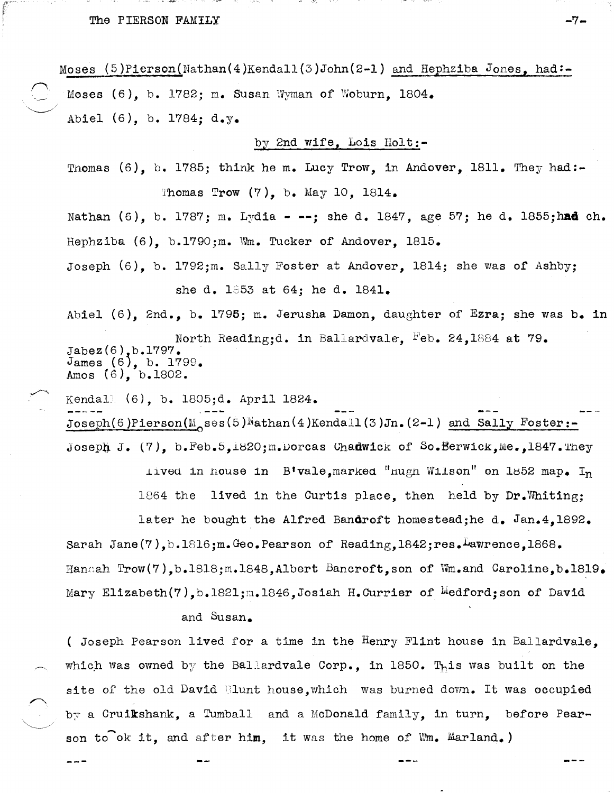Moses  $(5)$ Pierson(Nathan(4)Kendall(3)John(2-1) and Hephziba Jones, had:-Moses  $(6)$ , b. 1782; m. Susan Wyman of Woburn, 1804. Abie1 (6), b. 1784; d.y.

by 2nd wife, Lois Ho1t:-

Thomas  $(6)$ , b. 1785; think he m. Lucy Trow, in Andover, 1811. They had:-Thomas Trow  $(7)$ , b. May 10, 1814.

Nathan (6), b. 1787; m. Lydia - --; she d. 1847, age 57; he d. 1855; had ch. Hephziba  $(6)$ , b.1790;m. Wm. Tucker of Andover, 1815.

Joseph (6), b. 1792;m. Sally Foster at Andover, 1814; she was of Ashby; she d.  $1853$  at 64; he d.  $1841.$ 

Abie1 (6), 2nd., b. 1795; m. Jerusha Damon, daughter of Ezra; she was b. in

North Reading;d. in Ballardvale, Feb. 24,1884 at 79. Jabez(6), b.1797.  $James (6), b. 1799.$ Amos  $(6)$ , b.1802.

Kendall (6), b. 1805;d. April 1824.

 $Joseph (6) Pierson(M_ses (5)Nathan (4)Kendall (3)Jn. (2-1) and Sally Foster: -$ Joseph J. (7), b. Feb. 5,1820; m. Dorcas Chadwick of So. Berwick, Me., 1847. They

lived in house in B'vale, marked "hugh Wilson" on 1852 map. In 1864 the lived in the Curtis place, then held by Dr.Whiting; later he bought the Alfred Bandroft homestead;he d. Jan.4,1892. Sarah Jane $(7)$ , b.1816;m. Geo. Pearson of Reading, 1842;res. Lawrence, 1868. Hannah Trow(7), b.1818; m.1848, Albert Bancroft, son of  $\normalsize \mathbb{W}$  and Caroline, b.1819. Mary Elizabeth(7), b.1821; m.1846, Josiah H. Currier of  $M$ edford; son of David

## and Susan.

( Joseph Pearson lived for a time in the Henry Flint house in Ballardva1e, which was owned by the Ballardvale Corp., in 1850. This was built on the site of the old David Nunt house, which was burned down. It was occupied  $b_{\mathcal{T}}$  a Cruikshank, a Tumball and a McDonald family, in turn, before Pearson to ok it, and after him, it was the home of  $W_m$ . Marland.)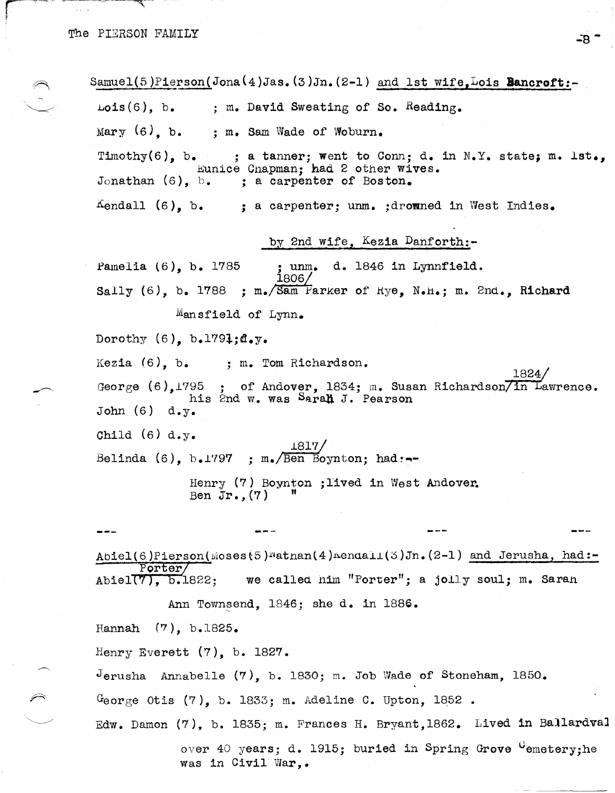Samuel(5)Pierson(Jona(4)Jas.(3)Jn.(2-1) and 1st wife.Lois Bancroft:- $Lois(6)$ ,  $b$ . **; m. David Sweating of So. Reading.**   $Mary$  (6), b. ; m. Sam Wade of Woburn. Timothy(6), b. ; a tanner; went to Conn; d. in N.Y. state; m. lst., Eunice Chapman; had 2 other wives.<br>Jonathan (6), b. : a carpenter of Boston. ; a carpenter of Boston.  $K$ endall (6), b. ; a carpenter; unm. ;drowned in West Indies. by 2nd wife, Kezia Danforth:-Pamelia (6), b. 1785 ; unm. d. 1846 in Lynnfield.<br>1806/ Sally (6), b. 1788 ; m. Sam Farker of  $Rye$ , N.H.; m. 2nd., Richard Mansfield of Lynn. Dorothy  $(6)$ , b.1791;d.y. Kezia (6), b. ; m. Tom Richardson. 1824. George  $(6)$ ,1795 ; of Andover, 1834; m. Susan Richardson  $\overline{7}$  in Lawrence. his 2nd w. was Sarah J. Pearson John  $(6)$  d.y. Child (6) d.y. Belinda  $(6)$ , b.1797 ; m. Ben Boynton; had :--Henry (7) Boynton ; lived in West Andover.<br>Ben Jr. (7)  $^{\prime\prime}$ --- $A$ biel(6)Pierson( $M$ oses(5) $M$ atnan(4) $M$ enda $1L(5)$ Jn. (2-1) and Jerusha, had:-~~rter7 Abiel(, b.1822; we callea him "Porter"; a jolly soul; m. Sara!l Ann Townsend, 1846; she d. in 1886. Hannah (7), b.1825. Henry Everett (7), b. 1827.  $J$ erusha Annabelle  $(7)$ , b. 1830; m. Job Wade of Stoneham, 1850. *George Otis (7), b. 1833; m. Adeline C. Upton, 1852.* Edw. Damon  $(7)$ , b. 1835; m. Frances H. Bryant,1862. Lived in Ballardval

> over 40 years; d. 1915; buried in Spring Grove  $G$ emetery;he was in Civil War,.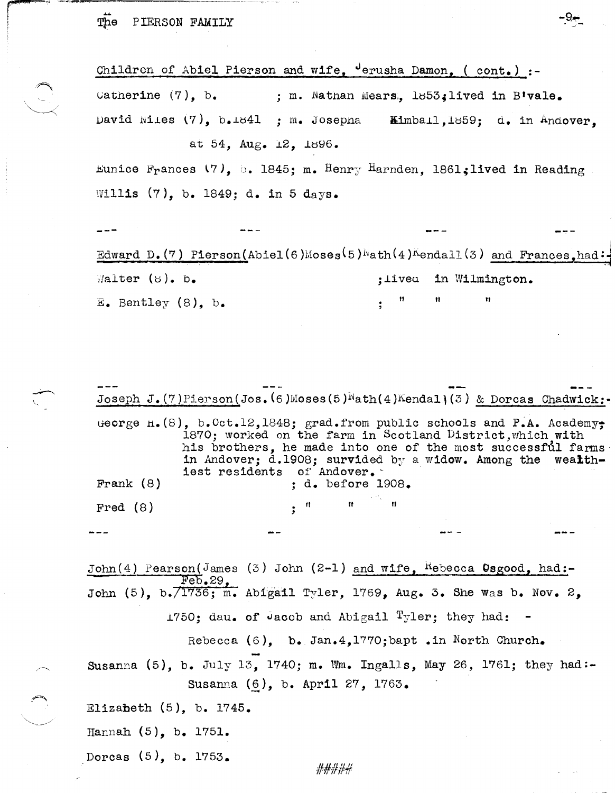The PIERSON FAMILY

Children of Abiel Pierson and wife. Jerusha Damon, (cont.) :-Catherine  $(7)$ . b. ; m. Nathan Mears. 1853. lived in B'vale. David Niles  $(7)$ ,  $b_{\bullet}1841$  : m. Josepha Kimball, 1859; d. in Andover. at 54. Aug. 12, 1896.

Eunice Frances (7). b. 1845: m. Henry Harnden. 1861: lived in Reading Willis (7), b. 1849; d. in 5 days.

Edward D. (7) Pierson(Abiel(6)Moses(5)Math(4)Mendall(3) and Frances.had:  $\mathbb{W}$ alter (8). b. in Wilmington. : livea E. Bentley  $(8)$ , b.

Joseph J. (7) Pierson (Jos. (6) Moses (5)  $Nath(4)$  Kendal (3) & Dorcas Chadwick:-George  $h(8)$ , b.Oct.12,1848; grad.from public schools and P.A. Academy; 1870; worked on the farm in Scotland District, which with his brothers, he made into one of the most successful farms in Andover; d.1908; survided by a widow. Among the wealthiest residents of Andover. Frank  $(8)$ ; d. before 1908. Fred  $(8)$ John(4) Pearson(James (3) John (2-1) and wife, Rebecca Osgood, had:- $Feb.29$ John (5), b.  $/1736$ ; m. Abigail Tyler, 1769, Aug. 3. She was b. Nov. 2, 1750; dau. of Jacob and Abigail Tyler; they had:

Rebecca  $(6)$ , b. Jan.4, 1770; bapt . in North Church.

Susanna  $(5)$ , b. July 13, 1740; m. Wm. Ingalls, May 26, 1761; they had:-Susanna (6), b. April 27, 1763.

Elizabeth  $(5)$ , b. 1745.

Hannah  $(5)$ , b. 1751.

Dorcas  $(5)$ , b. 1753.

#####